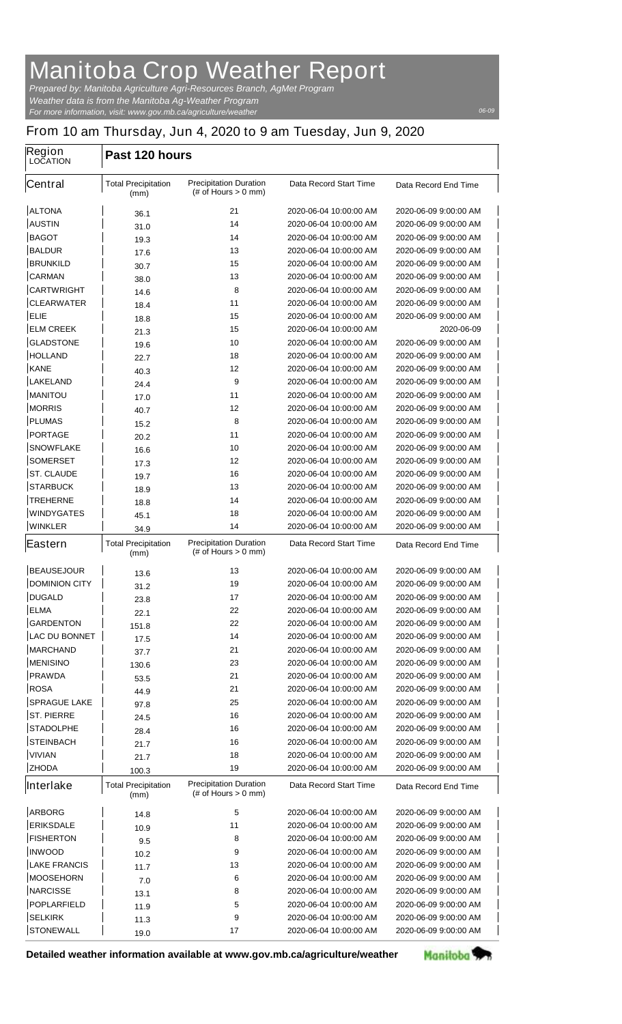## **Manitoba Crop Weather Report**

*For more information, visit: www.gov.mb.ca/agriculture/weather Prepared by: Manitoba Agriculture Agri-Resources Branch, AgMet Program Weather data is from the Manitoba Ag-Weather Program*

 $\overline{\phantom{a}}$ 

*06-09*

## **From 10 am Thursday, Jun 4, 2020 to 9 am Tuesday, Jun 9, 2020**

| Region<br><b>LOCATION</b> | Past 120 hours                     |                                                         |                               |                       |  |
|---------------------------|------------------------------------|---------------------------------------------------------|-------------------------------|-----------------------|--|
| <b>Central</b>            | <b>Total Precipitation</b><br>(mm) | <b>Precipitation Duration</b><br>$#$ of Hours $> 0$ mm) | <b>Data Record Start Time</b> | Data Record End Time  |  |
| <b>ALTONA</b>             | 36.1                               | 21                                                      | 2020-06-04 10:00:00 AM        | 2020-06-09 9:00:00 AM |  |
| <b>AUSTIN</b>             | 31.0                               | 14                                                      | 2020-06-04 10:00:00 AM        | 2020-06-09 9:00:00 AM |  |
| <b>BAGOT</b>              | 19.3                               | 14                                                      | 2020-06-04 10:00:00 AM        | 2020-06-09 9:00:00 AM |  |
| <b>BALDUR</b>             | 17.6                               | 13                                                      | 2020-06-04 10:00:00 AM        | 2020-06-09 9:00:00 AM |  |
| <b>BRUNKILD</b>           | 30.7                               | 15                                                      | 2020-06-04 10:00:00 AM        | 2020-06-09 9:00:00 AM |  |
| <b>CARMAN</b>             | 38.0                               | 13                                                      | 2020-06-04 10:00:00 AM        | 2020-06-09 9:00:00 AM |  |
| <b>CARTWRIGHT</b>         | 14.6                               | 8                                                       | 2020-06-04 10:00:00 AM        | 2020-06-09 9:00:00 AM |  |
| <b>CLEARWATER</b>         | 18.4                               | 11                                                      | 2020-06-04 10:00:00 AM        | 2020-06-09 9:00:00 AM |  |
| <b>ELIE</b>               | 18.8                               | 15                                                      | 2020-06-04 10:00:00 AM        | 2020-06-09 9:00:00 AM |  |
| <b>ELM CREEK</b>          | 21.3                               | 15                                                      | 2020-06-04 10:00:00 AM        | 2020-06-09            |  |
| <b>GLADSTONE</b>          | 19.6                               | 10                                                      | 2020-06-04 10:00:00 AM        | 2020-06-09 9:00:00 AM |  |
| <b>HOLLAND</b>            | 22.7                               | 18                                                      | 2020-06-04 10:00:00 AM        | 2020-06-09 9:00:00 AM |  |
| <b>KANE</b>               | 40.3                               | 12                                                      | 2020-06-04 10:00:00 AM        | 2020-06-09 9:00:00 AM |  |
| <b>LAKELAND</b>           | 24.4                               | 9                                                       | 2020-06-04 10:00:00 AM        | 2020-06-09 9:00:00 AM |  |
| <b>MANITOU</b>            | 17.0                               | 11                                                      | 2020-06-04 10:00:00 AM        | 2020-06-09 9:00:00 AM |  |
| <b>MORRIS</b>             | 40.7                               | 12                                                      | 2020-06-04 10:00:00 AM        | 2020-06-09 9:00:00 AM |  |
| <b>PLUMAS</b>             | 15.2                               | 8                                                       | 2020-06-04 10:00:00 AM        | 2020-06-09 9:00:00 AM |  |
| <b>PORTAGE</b>            | 20.2                               | 11                                                      | 2020-06-04 10:00:00 AM        | 2020-06-09 9:00:00 AM |  |
| <b>SNOWFLAKE</b>          | 16.6                               | 10                                                      | 2020-06-04 10:00:00 AM        | 2020-06-09 9:00:00 AM |  |
| <b>SOMERSET</b>           | 17.3                               | 12                                                      | 2020-06-04 10:00:00 AM        | 2020-06-09 9:00:00 AM |  |
| <b>ST. CLAUDE</b>         | 19.7                               | 16                                                      | 2020-06-04 10:00:00 AM        | 2020-06-09 9:00:00 AM |  |
| <b>STARBUCK</b>           | 18.9                               | 13                                                      | 2020-06-04 10:00:00 AM        | 2020-06-09 9:00:00 AM |  |
| <b>TREHERNE</b>           | 18.8                               | 14                                                      | 2020-06-04 10:00:00 AM        | 2020-06-09 9:00:00 AM |  |
| <b>WINDYGATES</b>         | 45.1                               | 18                                                      | 2020-06-04 10:00:00 AM        | 2020-06-09 9:00:00 AM |  |
| <b>WINKLER</b>            | 34.9                               | 14                                                      | 2020-06-04 10:00:00 AM        | 2020-06-09 9:00:00 AM |  |
| <b>Eastern</b>            | <b>Total Precipitation</b><br>(mm) | <b>Precipitation Duration</b><br>$#$ of Hours $> 0$ mm) | <b>Data Record Start Time</b> | Data Record End Time  |  |
| <b>BEAUSEJOUR</b>         | 13.6                               | 13                                                      | 2020-06-04 10:00:00 AM        | 2020-06-09 9:00:00 AM |  |
| <b>DOMINION CITY</b>      | 31.2                               | 19                                                      | 2020-06-04 10:00:00 AM        | 2020-06-09 9:00:00 AM |  |
| <b>DUGALD</b>             | 23.8                               | 17                                                      | 2020-06-04 10:00:00 AM        | 2020-06-09 9:00:00 AM |  |
| <b>ELMA</b>               | 22.1                               | 22                                                      | 2020-06-04 10:00:00 AM        | 2020-06-09 9:00:00 AM |  |
| <b>GARDENTON</b>          | 151.8                              | 22                                                      | 2020-06-04 10:00:00 AM        | 2020-06-09 9:00:00 AM |  |
| <b>LAC DU BONNET</b>      | 17.5                               | 14                                                      | 2020-06-04 10:00:00 AM        | 2020-06-09 9:00:00 AM |  |
| <b>MARCHAND</b>           | 37.7                               | 21                                                      | 2020-06-04 10:00:00 AM        | 2020-06-09 9:00:00 AM |  |
| <b>MENISINO</b>           | 130.6                              | 23                                                      | 2020-06-04 10:00:00 AM        | 2020-06-09 9:00:00 AM |  |
| <b>PRAWDA</b>             | 53.5                               | 21                                                      | 2020-06-04 10:00:00 AM        | 2020-06-09 9:00:00 AM |  |
| <b>ROSA</b>               | 44.9                               | 21                                                      | 2020-06-04 10:00:00 AM        | 2020-06-09 9:00:00 AM |  |
| <b>SPRAGUE LAKE</b>       | 97.8                               | 25                                                      | 2020-06-04 10:00:00 AM        | 2020-06-09 9:00:00 AM |  |
| <b>ST. PIERRE</b>         | 24.5                               | 16                                                      | 2020-06-04 10:00:00 AM        | 2020-06-09 9:00:00 AM |  |
| <b>STADOLPHE</b>          | 28.4                               | 16                                                      | 2020-06-04 10:00:00 AM        | 2020-06-09 9:00:00 AM |  |
| <b>STEINBACH</b>          | 21.7                               | 16                                                      | 2020-06-04 10:00:00 AM        | 2020-06-09 9:00:00 AM |  |
| <b>VIVIAN</b>             | 21.7                               | 18                                                      | 2020-06-04 10:00:00 AM        | 2020-06-09 9:00:00 AM |  |
| <b>ZHODA</b>              | 100.3                              | 19                                                      | 2020-06-04 10:00:00 AM        | 2020-06-09 9:00:00 AM |  |
| Interlake                 | <b>Total Precipitation</b><br>(mm) | <b>Precipitation Duration</b><br>(# of Hours $> 0$ mm)  | <b>Data Record Start Time</b> | Data Record End Time  |  |
| <b>ARBORG</b>             | 14.8                               | 5                                                       | 2020-06-04 10:00:00 AM        | 2020-06-09 9:00:00 AM |  |
| <b>ERIKSDALE</b>          | 10.9                               | 11                                                      | 2020-06-04 10:00:00 AM        | 2020-06-09 9:00:00 AM |  |
| <b>FISHERTON</b>          | 9.5                                | 8                                                       | 2020-06-04 10:00:00 AM        | 2020-06-09 9:00:00 AM |  |
| <b>INWOOD</b>             | 10.2                               | 9                                                       | 2020-06-04 10:00:00 AM        | 2020-06-09 9:00:00 AM |  |
| <b>LAKE FRANCIS</b>       | 11.7                               | 13                                                      | 2020-06-04 10:00:00 AM        | 2020-06-09 9:00:00 AM |  |
| <b>MOOSEHORN</b>          | 7.0                                | 6                                                       | 2020-06-04 10:00:00 AM        | 2020-06-09 9:00:00 AM |  |
| <b>NARCISSE</b>           | 13.1                               | 8                                                       | 2020-06-04 10:00:00 AM        | 2020-06-09 9:00:00 AM |  |
| <b>POPLARFIELD</b>        | 11.9                               | 5                                                       | 2020-06-04 10:00:00 AM        | 2020-06-09 9:00:00 AM |  |
| <b>SELKIRK</b>            | 11.3                               | 9                                                       | 2020-06-04 10:00:00 AM        | 2020-06-09 9:00:00 AM |  |
| <b>STONEWALL</b>          | 19.0                               | 17                                                      | 2020-06-04 10:00:00 AM        | 2020-06-09 9:00:00 AM |  |
|                           |                                    |                                                         |                               |                       |  |

**Detailed weather information available at www.gov.mb.ca/agriculture/weather**